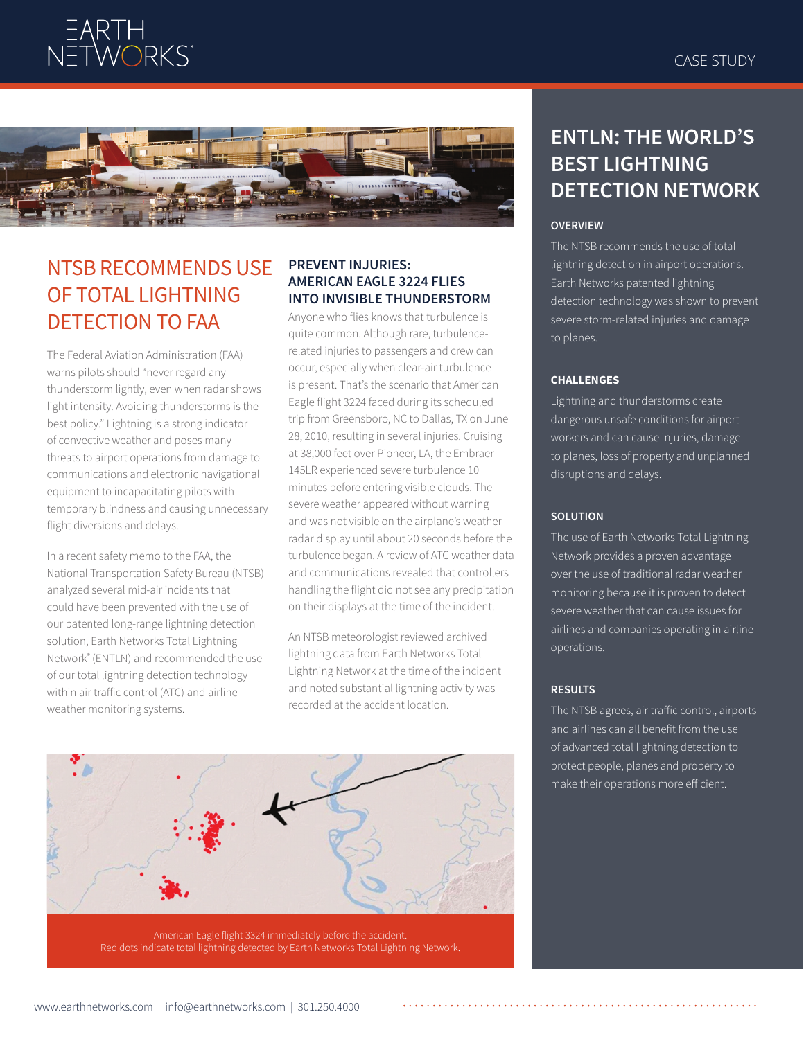



# NTSB RECOMMENDS USE OF TOTAL LIGHTNING DETECTION TO FAA

The Federal Aviation Administration (FAA) warns pilots should "never regard any thunderstorm lightly, even when radar shows light intensity. Avoiding thunderstorms is the best policy." Lightning is a strong indicator of convective weather and poses many threats to airport operations from damage to communications and electronic navigational equipment to incapacitating pilots with temporary blindness and causing unnecessary flight diversions and delays.

In a recent safety memo to the FAA, the National Transportation Safety Bureau (NTSB) analyzed several mid-air incidents that could have been prevented with the use of our patented long-range lightning detection solution, Earth Networks Total Lightning Network® (ENTLN) and recommended the use of our total lightning detection technology within air traffic control (ATC) and airline weather monitoring systems.

### **PREVENT INJURIES: AMERICAN EAGLE 3224 FLIES INTO INVISIBLE THUNDERSTORM**

Anyone who flies knows that turbulence is quite common. Although rare, turbulencerelated injuries to passengers and crew can occur, especially when clear-air turbulence is present. That's the scenario that American Eagle flight 3224 faced during its scheduled trip from Greensboro, NC to Dallas, TX on June 28, 2010, resulting in several injuries. Cruising at 38,000 feet over Pioneer, LA, the Embraer 145LR experienced severe turbulence 10 minutes before entering visible clouds. The severe weather appeared without warning and was not visible on the airplane's weather radar display until about 20 seconds before the turbulence began. A review of ATC weather data and communications revealed that controllers handling the flight did not see any precipitation on their displays at the time of the incident.

An NTSB meteorologist reviewed archived lightning data from Earth Networks Total Lightning Network at the time of the incident and noted substantial lightning activity was recorded at the accident location.



## **ENTLN: THE WORLD'S BEST LIGHTNING DETECTION NETWORK**

#### **OVERVIEW**

The NTSB recommends the use of total lightning detection in airport operations. Earth Networks patented lightning detection technology was shown to prevent severe storm-related injuries and damage to planes.

#### **CHALLENGES**

Lightning and thunderstorms create dangerous unsafe conditions for airport workers and can cause injuries, damage to planes, loss of property and unplanned disruptions and delays.

#### **SOLUTION**

The use of Earth Networks Total Lightning Network provides a proven advantage over the use of traditional radar weather monitoring because it is proven to detect severe weather that can cause issues for airlines and companies operating in airline operations.

#### **RESULTS**

The NTSB agrees, air traffic control, airports and airlines can all benefit from the use of advanced total lightning detection to protect people, planes and property to make their operations more efficient.